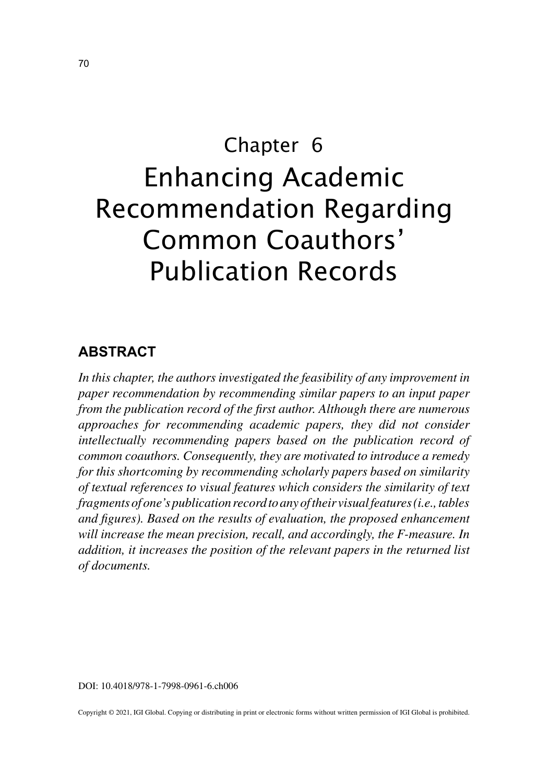# Chapter 6 Enhancing Academic Recommendation Regarding Common Coauthors' Publication Records

# **ABSTRACT**

*In this chapter, the authors investigated the feasibility of any improvement in paper recommendation by recommending similar papers to an input paper from the publication record of the first author. Although there are numerous approaches for recommending academic papers, they did not consider intellectually recommending papers based on the publication record of common coauthors. Consequently, they are motivated to introduce a remedy for this shortcoming by recommending scholarly papers based on similarity of textual references to visual features which considers the similarity of text fragments of one's publication record to any of their visual features (i.e., tables and figures). Based on the results of evaluation, the proposed enhancement will increase the mean precision, recall, and accordingly, the F-measure. In addition, it increases the position of the relevant papers in the returned list of documents.*

DOI: 10.4018/978-1-7998-0961-6.ch006

Copyright © 2021, IGI Global. Copying or distributing in print or electronic forms without written permission of IGI Global is prohibited.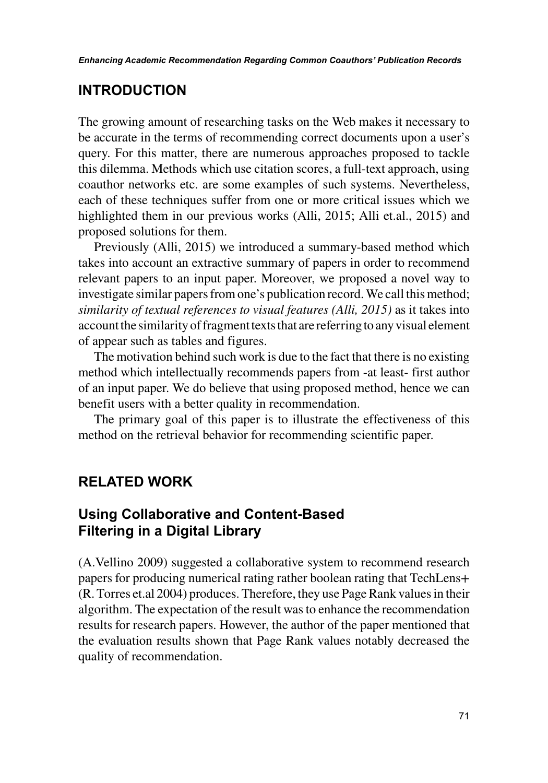## **INTRODUCTION**

The growing amount of researching tasks on the Web makes it necessary to be accurate in the terms of recommending correct documents upon a user's query. For this matter, there are numerous approaches proposed to tackle this dilemma. Methods which use citation scores, a full-text approach, using coauthor networks etc. are some examples of such systems. Nevertheless, each of these techniques suffer from one or more critical issues which we highlighted them in our previous works (Alli, 2015; Alli et.al., 2015) and proposed solutions for them.

Previously (Alli, 2015) we introduced a summary-based method which takes into account an extractive summary of papers in order to recommend relevant papers to an input paper. Moreover, we proposed a novel way to investigate similar papers from one's publication record. We call this method; *similarity of textual references to visual features (Alli, 2015)* as it takes into account the similarity of fragment texts that are referring to any visual element of appear such as tables and figures.

The motivation behind such work is due to the fact that there is no existing method which intellectually recommends papers from -at least- first author of an input paper. We do believe that using proposed method, hence we can benefit users with a better quality in recommendation.

The primary goal of this paper is to illustrate the effectiveness of this method on the retrieval behavior for recommending scientific paper.

## **RELATED WORK**

## **Using Collaborative and Content-Based Filtering in a Digital Library**

(A.Vellino 2009) suggested a collaborative system to recommend research papers for producing numerical rating rather boolean rating that TechLens+ (R. Torres et.al 2004) produces. Therefore, they use Page Rank values in their algorithm. The expectation of the result was to enhance the recommendation results for research papers. However, the author of the paper mentioned that the evaluation results shown that Page Rank values notably decreased the quality of recommendation.